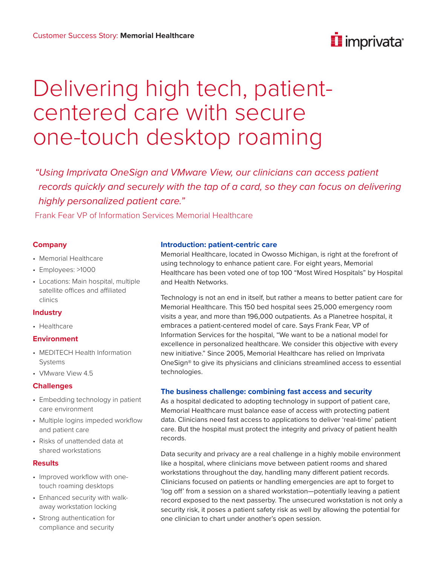# i imprivata<sup>®</sup>

# Delivering high tech, patientcentered care with secure one-touch desktop roaming

*"Using Imprivata OneSign and VMware View, our clinicians can access patient records quickly and securely with the tap of a card, so they can focus on delivering highly personalized patient care."*

Frank Fear VP of Information Services Memorial Healthcare

### **Company**

- Memorial Healthcare
- Employees: >1000
- Locations: Main hospital, multiple satellite offices and affiliated clinics

## **Industry**

• Healthcare

#### **Environment**

- MEDITECH Health Information Systems
- VMware View 4.5

## **Challenges**

- Embedding technology in patient care environment
- Multiple logins impeded workflow and patient care
- Risks of unattended data at shared workstations

#### **Results**

- Improved workflow with onetouch roaming desktops
- Enhanced security with walkaway workstation locking
- Strong authentication for compliance and security

#### **Introduction: patient-centric care**

Memorial Healthcare, located in Owosso Michigan, is right at the forefront of using technology to enhance patient care. For eight years, Memorial Healthcare has been voted one of top 100 "Most Wired Hospitals" by Hospital and Health Networks.

Technology is not an end in itself, but rather a means to better patient care for Memorial Healthcare. This 150 bed hospital sees 25,000 emergency room visits a year, and more than 196,000 outpatients. As a Planetree hospital, it embraces a patient-centered model of care. Says Frank Fear, VP of Information Services for the hospital, "We want to be a national model for excellence in personalized healthcare. We consider this objective with every new initiative." Since 2005, Memorial Healthcare has relied on Imprivata OneSign® to give its physicians and clinicians streamlined access to essential technologies.

#### **The business challenge: combining fast access and security**

As a hospital dedicated to adopting technology in support of patient care, Memorial Healthcare must balance ease of access with protecting patient data. Clinicians need fast access to applications to deliver 'real-time' patient care. But the hospital must protect the integrity and privacy of patient health records.

Data security and privacy are a real challenge in a highly mobile environment like a hospital, where clinicians move between patient rooms and shared workstations throughout the day, handling many different patient records. Clinicians focused on patients or handling emergencies are apt to forget to 'log off' from a session on a shared workstation—potentially leaving a patient record exposed to the next passerby. The unsecured workstation is not only a security risk, it poses a patient safety risk as well by allowing the potential for one clinician to chart under another's open session.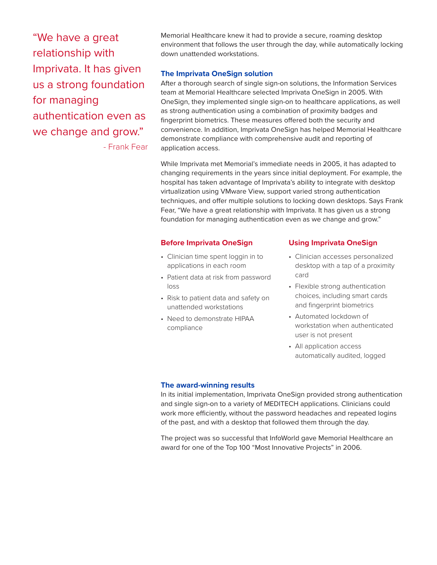"We have a great relationship with Imprivata. It has given us a strong foundation for managing authentication even as we change and grow."

- Frank Fear

Memorial Healthcare knew it had to provide a secure, roaming desktop environment that follows the user through the day, while automatically locking down unattended workstations.

#### **The Imprivata OneSign solution**

After a thorough search of single sign-on solutions, the Information Services team at Memorial Healthcare selected Imprivata OneSign in 2005. With OneSign, they implemented single sign-on to healthcare applications, as well as strong authentication using a combination of proximity badges and fingerprint biometrics. These measures offered both the security and convenience. In addition, Imprivata OneSign has helped Memorial Healthcare demonstrate compliance with comprehensive audit and reporting of application access.

While Imprivata met Memorial's immediate needs in 2005, it has adapted to changing requirements in the years since initial deployment. For example, the hospital has taken advantage of Imprivata's ability to integrate with desktop virtualization using VMware View, support varied strong authentication techniques, and offer multiple solutions to locking down desktops. Says Frank Fear, "We have a great relationship with Imprivata. It has given us a strong foundation for managing authentication even as we change and grow."

#### **Before Imprivata OneSign**

- Clinician time spent loggin in to applications in each room
- Patient data at risk from password loss
- Risk to patient data and safety on unattended workstations
- Need to demonstrate HIPAA compliance

#### **Using Imprivata OneSign**

- Clinician accesses personalized desktop with a tap of a proximity card
- Flexible strong authentication choices, including smart cards and fingerprint biometrics
- Automated lockdown of workstation when authenticated user is not present
- All application access automatically audited, logged

#### **The award-winning results**

In its initial implementation, Imprivata OneSign provided strong authentication and single sign-on to a variety of MEDITECH applications. Clinicians could work more efficiently, without the password headaches and repeated logins of the past, and with a desktop that followed them through the day.

The project was so successful that InfoWorld gave Memorial Healthcare an award for one of the Top 100 "Most Innovative Projects" in 2006.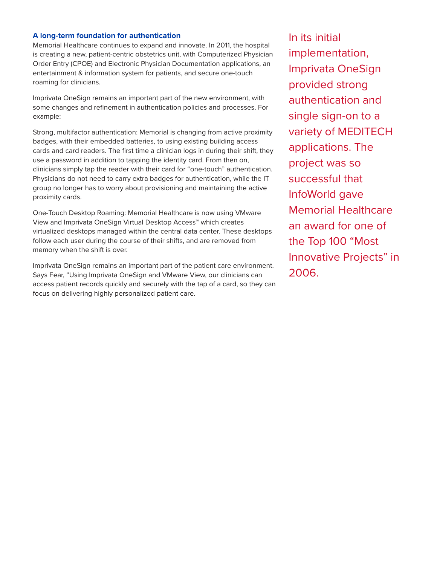#### **A long-term foundation for authentication**

Memorial Healthcare continues to expand and innovate. In 2011, the hospital is creating a new, patient-centric obstetrics unit, with Computerized Physician Order Entry (CPOE) and Electronic Physician Documentation applications, an entertainment & information system for patients, and secure one-touch roaming for clinicians.

Imprivata OneSign remains an important part of the new environment, with some changes and refinement in authentication policies and processes. For example:

Strong, multifactor authentication: Memorial is changing from active proximity badges, with their embedded batteries, to using existing building access cards and card readers. The first time a clinician logs in during their shift, they use a password in addition to tapping the identity card. From then on, clinicians simply tap the reader with their card for "one-touch" authentication. Physicians do not need to carry extra badges for authentication, while the IT group no longer has to worry about provisioning and maintaining the active proximity cards.

One-Touch Desktop Roaming: Memorial Healthcare is now using VMware View and Imprivata OneSign Virtual Desktop Access™ which creates virtualized desktops managed within the central data center. These desktops follow each user during the course of their shifts, and are removed from memory when the shift is over.

Imprivata OneSign remains an important part of the patient care environment. Says Fear, "Using Imprivata OneSign and VMware View, our clinicians can access patient records quickly and securely with the tap of a card, so they can focus on delivering highly personalized patient care.

In its initial implementation, Imprivata OneSign provided strong authentication and single sign-on to a variety of MEDITECH applications. The project was so successful that InfoWorld gave Memorial Healthcare an award for one of the Top 100 "Most Innovative Projects" in 2006.